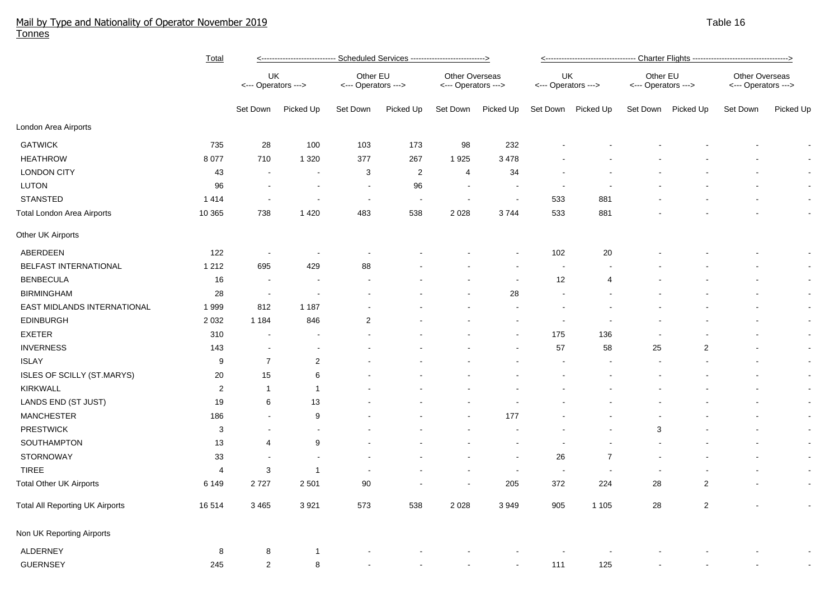## Mail by Type and Nationality of Operator November 2019 Table 16 Tonnes

|                                        | <b>Total</b>   | <---------------------------- Scheduled Services ---------------------------> |                           |                          |                                 |                |                                       | <---------------------------------- Charter Flights ---------------------------------> |                           |    |                                 |          |                                       |  |
|----------------------------------------|----------------|-------------------------------------------------------------------------------|---------------------------|--------------------------|---------------------------------|----------------|---------------------------------------|----------------------------------------------------------------------------------------|---------------------------|----|---------------------------------|----------|---------------------------------------|--|
|                                        |                |                                                                               | UK<br><--- Operators ---> |                          | Other EU<br><--- Operators ---> |                | Other Overseas<br><--- Operators ---> |                                                                                        | UK<br><--- Operators ---> |    | Other EU<br><--- Operators ---> |          | Other Overseas<br><--- Operators ---> |  |
|                                        |                | Set Down                                                                      | Picked Up                 | Set Down                 | Picked Up                       | Set Down       | Picked Up                             |                                                                                        | Set Down Picked Up        |    | Set Down Picked Up              | Set Down | Picked Up                             |  |
| London Area Airports                   |                |                                                                               |                           |                          |                                 |                |                                       |                                                                                        |                           |    |                                 |          |                                       |  |
| <b>GATWICK</b>                         | 735            | 28                                                                            | 100                       | 103                      | 173                             | 98             | 232                                   |                                                                                        |                           |    |                                 |          |                                       |  |
| <b>HEATHROW</b>                        | 8 0 7 7        | 710                                                                           | 1 3 2 0                   | 377                      | 267                             | 1925           | 3 4 7 8                               |                                                                                        |                           |    |                                 |          |                                       |  |
| <b>LONDON CITY</b>                     | 43             |                                                                               | $\blacksquare$            | 3                        | $\overline{2}$                  | 4              | 34                                    |                                                                                        |                           |    |                                 |          |                                       |  |
| LUTON                                  | 96             |                                                                               |                           | $\blacksquare$           | 96                              | $\sim$         |                                       |                                                                                        |                           |    |                                 |          |                                       |  |
| <b>STANSTED</b>                        | 1414           |                                                                               | $\blacksquare$            | $\overline{\phantom{a}}$ |                                 | $\blacksquare$ | $\overline{\phantom{a}}$              | 533                                                                                    | 881                       |    |                                 |          | $\blacksquare$                        |  |
| <b>Total London Area Airports</b>      | 10 365         | 738                                                                           | 1 4 2 0                   | 483                      | 538                             | 2 0 2 8        | 3744                                  | 533                                                                                    | 881                       |    |                                 |          | $\blacksquare$                        |  |
| Other UK Airports                      |                |                                                                               |                           |                          |                                 |                |                                       |                                                                                        |                           |    |                                 |          |                                       |  |
| ABERDEEN                               | 122            | $\overline{\phantom{a}}$                                                      | $\overline{\phantom{a}}$  |                          |                                 |                |                                       | 102                                                                                    | 20                        |    |                                 |          | $\blacksquare$                        |  |
| BELFAST INTERNATIONAL                  | 1 2 1 2        | 695                                                                           | 429                       | 88                       |                                 |                |                                       | $\overline{\phantom{a}}$                                                               |                           |    |                                 |          | $\blacksquare$                        |  |
| <b>BENBECULA</b>                       | 16             | $\overline{\phantom{a}}$                                                      | $\overline{\phantom{a}}$  |                          |                                 |                |                                       | 12                                                                                     | 4                         |    |                                 |          | $\blacksquare$                        |  |
| <b>BIRMINGHAM</b>                      | 28             | $\sim$                                                                        |                           |                          |                                 |                | 28                                    | $\blacksquare$                                                                         |                           |    |                                 |          | $\blacksquare$                        |  |
| EAST MIDLANDS INTERNATIONAL            | 1999           | 812                                                                           | 1 1 8 7                   |                          |                                 |                |                                       |                                                                                        |                           |    |                                 |          | $\blacksquare$                        |  |
| <b>EDINBURGH</b>                       | 2 0 3 2        | 1 1 8 4                                                                       | 846                       | $\overline{2}$           |                                 |                |                                       | $\blacksquare$                                                                         |                           |    |                                 |          | $\blacksquare$                        |  |
| <b>EXETER</b>                          | 310            | $\overline{\phantom{a}}$                                                      |                           |                          |                                 |                |                                       | 175                                                                                    | 136                       |    |                                 |          | $\blacksquare$                        |  |
| <b>INVERNESS</b>                       | 143            |                                                                               |                           |                          |                                 |                |                                       | 57                                                                                     | 58                        | 25 | $\overline{2}$                  |          | $\blacksquare$                        |  |
| <b>ISLAY</b>                           | 9              | $\overline{7}$                                                                | $\overline{2}$            |                          |                                 |                |                                       |                                                                                        |                           |    |                                 |          | $\blacksquare$                        |  |
| ISLES OF SCILLY (ST.MARYS)             | 20             | 15                                                                            | $\,6\,$                   |                          |                                 |                |                                       |                                                                                        |                           |    |                                 |          | $\blacksquare$                        |  |
| <b>KIRKWALL</b>                        | $\overline{2}$ | $\overline{1}$                                                                | $\overline{1}$            |                          |                                 |                |                                       |                                                                                        |                           |    |                                 |          | $\blacksquare$                        |  |
| LANDS END (ST JUST)                    | 19             | 6                                                                             | 13                        |                          |                                 |                |                                       |                                                                                        |                           |    |                                 |          | $\blacksquare$                        |  |
| <b>MANCHESTER</b>                      | 186            | $\overline{a}$                                                                | 9                         |                          |                                 |                | 177                                   |                                                                                        |                           |    |                                 |          | $\blacksquare$                        |  |
| <b>PRESTWICK</b>                       | $\sqrt{3}$     | $\sim$                                                                        | $\sim$                    |                          |                                 |                |                                       |                                                                                        |                           | 3  |                                 |          | $\blacksquare$                        |  |
| SOUTHAMPTON                            | 13             | $\overline{4}$                                                                | 9                         |                          |                                 |                |                                       |                                                                                        |                           |    |                                 |          | $\blacksquare$                        |  |
| <b>STORNOWAY</b>                       | 33             | $\blacksquare$                                                                | $\sim$                    |                          |                                 |                | $\overline{\phantom{a}}$              | 26                                                                                     | $\overline{7}$            |    |                                 |          | $\sim$                                |  |
| <b>TIREE</b>                           | 4              | 3                                                                             | $\overline{1}$            |                          |                                 |                | $\overline{\phantom{a}}$              | $\sim$                                                                                 |                           |    |                                 |          | $\blacksquare$                        |  |
| <b>Total Other UK Airports</b>         | 6 1 4 9        | 2727                                                                          | 2 5 0 1                   | 90                       |                                 | $\sim$         | 205                                   | 372                                                                                    | 224                       | 28 | $\overline{c}$                  |          | $\blacksquare$                        |  |
| <b>Total All Reporting UK Airports</b> | 16 514         | 3 4 6 5                                                                       | 3 9 21                    | 573                      | 538                             | 2 0 2 8        | 3 9 4 9                               | 905                                                                                    | 1 1 0 5                   | 28 | $\overline{\mathbf{c}}$         |          |                                       |  |
| Non UK Reporting Airports              |                |                                                                               |                           |                          |                                 |                |                                       |                                                                                        |                           |    |                                 |          |                                       |  |
| <b>ALDERNEY</b>                        | 8              | 8                                                                             | -1                        |                          |                                 |                |                                       |                                                                                        |                           |    |                                 |          |                                       |  |
| <b>GUERNSEY</b>                        | 245            | 2                                                                             | 8                         |                          |                                 |                |                                       | 111                                                                                    | 125                       |    |                                 |          |                                       |  |